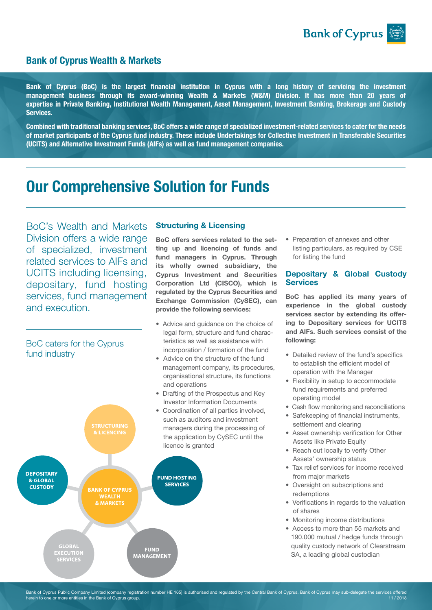

# Bank of Cyprus Wealth & Markets

Bank of Cyprus (BoC) is the largest financial institution in Cyprus with a long history of servicing the investment management business through its award-winning Wealth & Markets (W&M) Division. It has more than 20 years of expertise in Private Banking, Institutional Wealth Management, Asset Management, Investment Banking, Brokerage and Custody Services.

Combined with traditional banking services, BoC offers a wide range of specialized investment-related services to cater for the needs of market participants of the Cyprus fund industry. These include Undertakings for Collective Investment in Transferable Securities (UCITS) and Alternative Investment Funds (AIFs) as well as fund management companies.

# Our Comprehensive Solution for Funds

BoC's Wealth and Markets Division offers a wide range of specialized, investment related services to AIFs and UCITS including licensing, depositary, fund hosting services, fund management and execution.

## BoC caters for the Cyprus fund industry



## Structuring & Licensing

BoC offers services related to the setting up and licencing of funds and fund managers in Cyprus. Through its wholly owned subsidiary, the Cyprus Investment and Securities Corporation Ltd (CISCO), which is regulated by the Cyprus Securities and Exchange Commission (CySEC), can provide the following services:

- Advice and guidance on the choice of legal form, structure and fund charac teristics as well as assistance with incorporation / formation of the fund
- Advice on the structure of the fund management company, its procedures, organisational structure, its functions and operations
- Drafting of the Prospectus and Key Investor Information Documents
- Coordination of all parties involved, such as auditors and investment managers during the processing of the application by CySEC until the

• Preparation of annexes and other listing particulars, as required by CSE for listing the fund

## Depositary & Global Custody **Services**

BoC has applied its many years of experience in the global custody services sector by extending its offering to Depositary services for UCITS and AIFs. Such services consist of the following:

- Detailed review of the fund's specifics to establish the efficient model of operation with the Manager
- Flexibility in setup to accommodate fund requirements and preferred operating model
- Cash flow monitoring and reconciliations
- Safekeeping of financial instruments, settlement and clearing
- Asset ownership verification for Other Assets like Private Equity
- Reach out locally to verify Other Assets' ownership status
- Tax relief services for income received from major markets
- Oversight on subscriptions and redemptions
- Verifications in regards to the valuation of shares
- Monitoring income distributions
- Access to more than 55 markets and 190.000 mutual / hedge funds through quality custody network of Clearstream SA, a leading global custodian